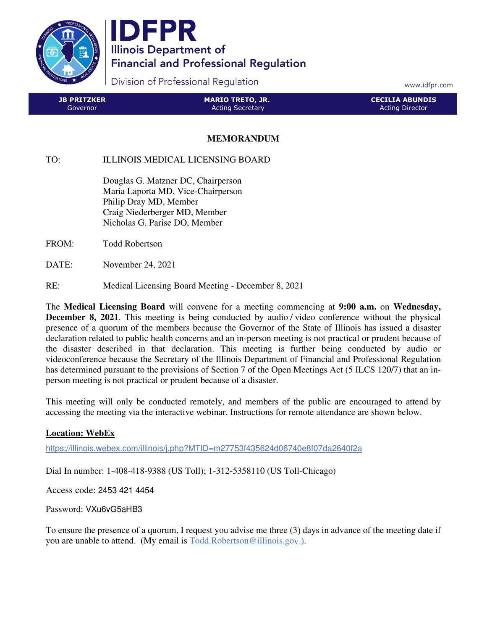

**IDFPR Illinois Department of Financial and Professional Regulation** 

Division of Professional Regulation

www.idfpr.com

| <b>JB PRITZKER</b> | <b>MARIO TRETO, JR.</b> | <b>CECILIA ABUNDIS</b> |
|--------------------|-------------------------|------------------------|
| 'Governor          | <b>Acting Secretary</b> | Acting Director        |

## **MEMORANDUM**

TO: ILLINOIS MEDICAL LICENSING BOARD

 Douglas G. Matzner DC, Chairperson Maria Laporta MD, Vice-Chairperson Philip Dray MD, Member Craig Niederberger MD, Member Nicholas G. Parise DO, Member

FROM: Todd Robertson

DATE: November 24, 2021

RE: Medical Licensing Board Meeting - December 8, 2021

The **Medical Licensing Board** will convene for a meeting commencing at **9:00 a.m.** on **Wednesday, December 8, 2021**. This meeting is being conducted by audio / video conference without the physical presence of a quorum of the members because the Governor of the State of Illinois has issued a disaster declaration related to public health concerns and an in-person meeting is not practical or prudent because of the disaster described in that declaration. This meeting is further being conducted by audio or videoconference because the Secretary of the Illinois Department of Financial and Professional Regulation has determined pursuant to the provisions of Section 7 of the Open Meetings Act (5 ILCS 120/7) that an inperson meeting is not practical or prudent because of a disaster.

This meeting will only be conducted remotely, and members of the public are encouraged to attend by accessing the meeting via the interactive webinar. Instructions for remote attendance are shown below.

## **Location: WebEx**

https://illinois.webex.com/illinois/j.php?MTID=m27753f435624d06740e8f07da2640f2a

Dial In number: 1-408-418-9388 (US Toll); 1-312-5358110 (US Toll-Chicago)

Access code: 2453 421 4454

Password: VXu6vG5aHB3

To ensure the presence of a quorum, I request you advise me three (3) days in advance of the meeting date if you are unable to attend. (My email is Todd.Robertson@illinois.gov.).